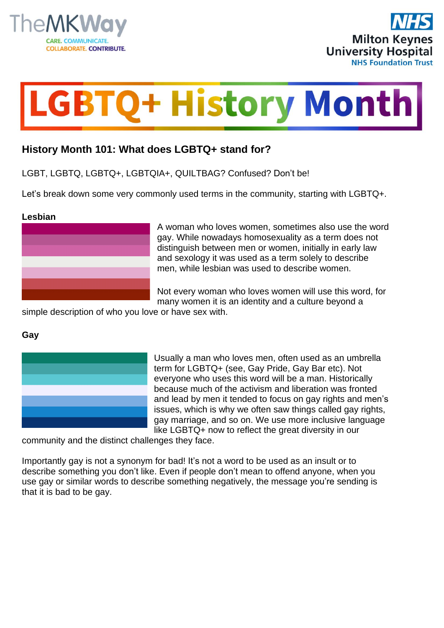





# **History Month 101: What does LGBTQ+ stand for?**

LGBT, LGBTQ, LGBTQ+, LGBTQIA+, QUILTBAG? Confused? Don't be!

Let's break down some very commonly used terms in the community, starting with LGBTQ+.

#### **Lesbian**



A woman who loves women, sometimes also use the word gay. While nowadays homosexuality as a term does not distinguish between men or women, initially in early law and sexology it was used as a term solely to describe men, while lesbian was used to describe women.

Not every woman who loves women will use this word, for many women it is an identity and a culture beyond a

simple description of who you love or have sex with.

## **Gay**



Usually a man who loves men, often used as an umbrella term for LGBTQ+ (see, Gay Pride, Gay Bar etc). Not everyone who uses this word will be a man. Historically because much of the activism and liberation was fronted and lead by men it tended to focus on gay rights and men's issues, which is why we often saw things called gay rights, gay marriage, and so on. We use more inclusive language like LGBTQ+ now to reflect the great diversity in our

community and the distinct challenges they face.

Importantly gay is not a synonym for bad! It's not a word to be used as an insult or to describe something you don't like. Even if people don't mean to offend anyone, when you use gay or similar words to describe something negatively, the message you're sending is that it is bad to be gay.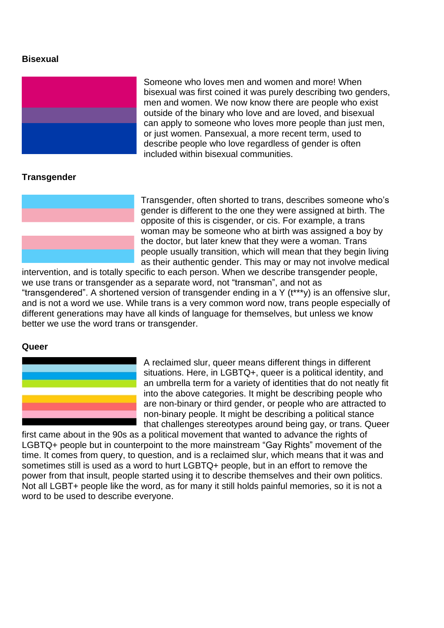## **Bisexual**



Someone who loves men and women and more! When bisexual was first coined it was purely describing two genders, men and women. We now know there are people who exist outside of the binary who love and are loved, and bisexual can apply to someone who loves more people than just men, or just women. Pansexual, a more recent term, used to describe people who love regardless of gender is often included within bisexual communities.

# **Transgender**



Transgender, often shorted to trans, describes someone who's gender is different to the one they were assigned at birth. The opposite of this is cisgender, or cis. For example, a trans woman may be someone who at birth was assigned a boy by the doctor, but later knew that they were a woman. Trans people usually transition, which will mean that they begin living as their authentic gender. This may or may not involve medical

intervention, and is totally specific to each person. When we describe transgender people, we use trans or transgender as a separate word, not "transman", and not as "transgendered". A shortened version of transgender ending in a Y (t\*\*\*y) is an offensive slur, and is not a word we use. While trans is a very common word now, trans people especially of different generations may have all kinds of language for themselves, but unless we know better we use the word trans or transgender.

#### **Queer**



A reclaimed slur, queer means different things in different situations. Here, in LGBTQ+, queer is a political identity, and an umbrella term for a variety of identities that do not neatly fit into the above categories. It might be describing people who are non-binary or third gender, or people who are attracted to non-binary people. It might be describing a political stance that challenges stereotypes around being gay, or trans. Queer

first came about in the 90s as a political movement that wanted to advance the rights of LGBTQ+ people but in counterpoint to the more mainstream "Gay Rights" movement of the time. It comes from query, to question, and is a reclaimed slur, which means that it was and sometimes still is used as a word to hurt LGBTQ+ people, but in an effort to remove the power from that insult, people started using it to describe themselves and their own politics. Not all LGBT+ people like the word, as for many it still holds painful memories, so it is not a word to be used to describe everyone.